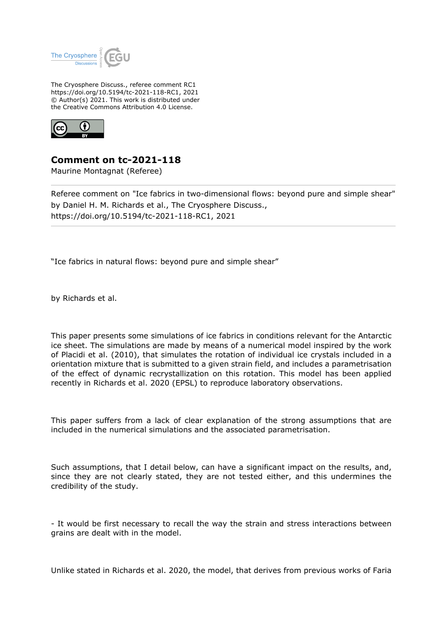

The Cryosphere Discuss., referee comment RC1 https://doi.org/10.5194/tc-2021-118-RC1, 2021 © Author(s) 2021. This work is distributed under the Creative Commons Attribution 4.0 License.



**Comment on tc-2021-118**

Maurine Montagnat (Referee)

Referee comment on "Ice fabrics in two-dimensional flows: beyond pure and simple shear" by Daniel H. M. Richards et al., The Cryosphere Discuss., https://doi.org/10.5194/tc-2021-118-RC1, 2021

"Ice fabrics in natural flows: beyond pure and simple shear"

by Richards et al.

This paper presents some simulations of ice fabrics in conditions relevant for the Antarctic ice sheet. The simulations are made by means of a numerical model inspired by the work of Placidi et al. (2010), that simulates the rotation of individual ice crystals included in a orientation mixture that is submitted to a given strain field, and includes a parametrisation of the effect of dynamic recrystallization on this rotation. This model has been applied recently in Richards et al. 2020 (EPSL) to reproduce laboratory observations.

This paper suffers from a lack of clear explanation of the strong assumptions that are included in the numerical simulations and the associated parametrisation.

Such assumptions, that I detail below, can have a significant impact on the results, and, since they are not clearly stated, they are not tested either, and this undermines the credibility of the study.

- It would be first necessary to recall the way the strain and stress interactions between grains are dealt with in the model.

Unlike stated in Richards et al. 2020, the model, that derives from previous works of Faria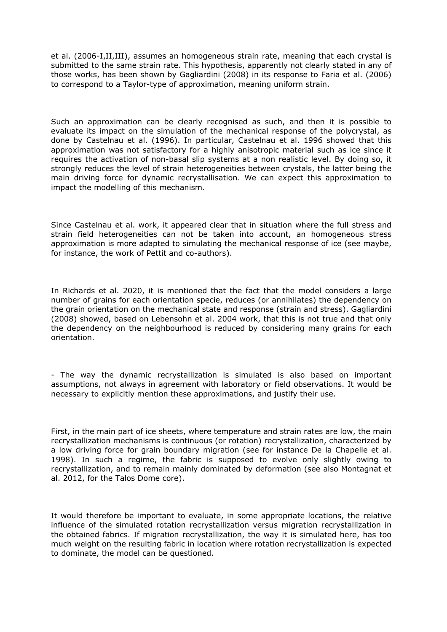et al. (2006-I,II,III), assumes an homogeneous strain rate, meaning that each crystal is submitted to the same strain rate. This hypothesis, apparently not clearly stated in any of those works, has been shown by Gagliardini (2008) in its response to Faria et al. (2006) to correspond to a Taylor-type of approximation, meaning uniform strain.

Such an approximation can be clearly recognised as such, and then it is possible to evaluate its impact on the simulation of the mechanical response of the polycrystal, as done by Castelnau et al. (1996). In particular, Castelnau et al. 1996 showed that this approximation was not satisfactory for a highly anisotropic material such as ice since it requires the activation of non-basal slip systems at a non realistic level. By doing so, it strongly reduces the level of strain heterogeneities between crystals, the latter being the main driving force for dynamic recrystallisation. We can expect this approximation to impact the modelling of this mechanism.

Since Castelnau et al. work, it appeared clear that in situation where the full stress and strain field heterogeneities can not be taken into account, an homogeneous stress approximation is more adapted to simulating the mechanical response of ice (see maybe, for instance, the work of Pettit and co-authors).

In Richards et al. 2020, it is mentioned that the fact that the model considers a large number of grains for each orientation specie, reduces (or annihilates) the dependency on the grain orientation on the mechanical state and response (strain and stress). Gagliardini (2008) showed, based on Lebensohn et al. 2004 work, that this is not true and that only the dependency on the neighbourhood is reduced by considering many grains for each orientation.

- The way the dynamic recrystallization is simulated is also based on important assumptions, not always in agreement with laboratory or field observations. It would be necessary to explicitly mention these approximations, and justify their use.

First, in the main part of ice sheets, where temperature and strain rates are low, the main recrystallization mechanisms is continuous (or rotation) recrystallization, characterized by a low driving force for grain boundary migration (see for instance De la Chapelle et al. 1998). In such a regime, the fabric is supposed to evolve only slightly owing to recrystallization, and to remain mainly dominated by deformation (see also Montagnat et al. 2012, for the Talos Dome core).

It would therefore be important to evaluate, in some appropriate locations, the relative influence of the simulated rotation recrystallization versus migration recrystallization in the obtained fabrics. If migration recrystallization, the way it is simulated here, has too much weight on the resulting fabric in location where rotation recrystallization is expected to dominate, the model can be questioned.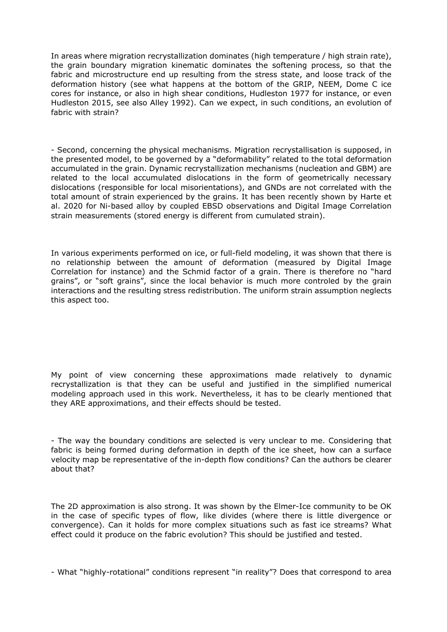In areas where migration recrystallization dominates (high temperature / high strain rate), the grain boundary migration kinematic dominates the softening process, so that the fabric and microstructure end up resulting from the stress state, and loose track of the deformation history (see what happens at the bottom of the GRIP, NEEM, Dome C ice cores for instance, or also in high shear conditions, Hudleston 1977 for instance, or even Hudleston 2015, see also Alley 1992). Can we expect, in such conditions, an evolution of fabric with strain?

- Second, concerning the physical mechanisms. Migration recrystallisation is supposed, in the presented model, to be governed by a "deformability" related to the total deformation accumulated in the grain. Dynamic recrystallization mechanisms (nucleation and GBM) are related to the local accumulated dislocations in the form of geometrically necessary dislocations (responsible for local misorientations), and GNDs are not correlated with the total amount of strain experienced by the grains. It has been recently shown by Harte et al. 2020 for Ni-based alloy by coupled EBSD observations and Digital Image Correlation strain measurements (stored energy is different from cumulated strain).

In various experiments performed on ice, or full-field modeling, it was shown that there is no relationship between the amount of deformation (measured by Digital Image Correlation for instance) and the Schmid factor of a grain. There is therefore no "hard grains", or "soft grains", since the local behavior is much more controled by the grain interactions and the resulting stress redistribution. The uniform strain assumption neglects this aspect too.

My point of view concerning these approximations made relatively to dynamic recrystallization is that they can be useful and justified in the simplified numerical modeling approach used in this work. Nevertheless, it has to be clearly mentioned that they ARE approximations, and their effects should be tested.

- The way the boundary conditions are selected is very unclear to me. Considering that fabric is being formed during deformation in depth of the ice sheet, how can a surface velocity map be representative of the in-depth flow conditions? Can the authors be clearer about that?

The 2D approximation is also strong. It was shown by the Elmer-Ice community to be OK in the case of specific types of flow, like divides (where there is little divergence or convergence). Can it holds for more complex situations such as fast ice streams? What effect could it produce on the fabric evolution? This should be justified and tested.

- What "highly-rotational" conditions represent "in reality"? Does that correspond to area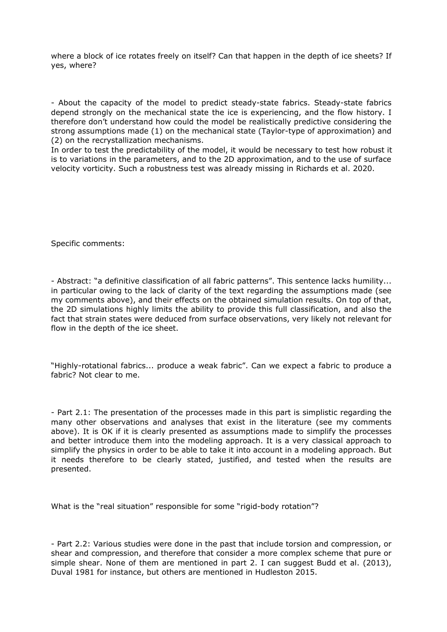where a block of ice rotates freely on itself? Can that happen in the depth of ice sheets? If yes, where?

- About the capacity of the model to predict steady-state fabrics. Steady-state fabrics depend strongly on the mechanical state the ice is experiencing, and the flow history. I therefore don't understand how could the model be realistically predictive considering the strong assumptions made (1) on the mechanical state (Taylor-type of approximation) and (2) on the recrystallization mechanisms.

In order to test the predictability of the model, it would be necessary to test how robust it is to variations in the parameters, and to the 2D approximation, and to the use of surface velocity vorticity. Such a robustness test was already missing in Richards et al. 2020.

Specific comments:

- Abstract: "a definitive classification of all fabric patterns". This sentence lacks humility... in particular owing to the lack of clarity of the text regarding the assumptions made (see my comments above), and their effects on the obtained simulation results. On top of that, the 2D simulations highly limits the ability to provide this full classification, and also the fact that strain states were deduced from surface observations, very likely not relevant for flow in the depth of the ice sheet.

"Highly-rotational fabrics... produce a weak fabric". Can we expect a fabric to produce a fabric? Not clear to me.

- Part 2.1: The presentation of the processes made in this part is simplistic regarding the many other observations and analyses that exist in the literature (see my comments above). It is OK if it is clearly presented as assumptions made to simplify the processes and better introduce them into the modeling approach. It is a very classical approach to simplify the physics in order to be able to take it into account in a modeling approach. But it needs therefore to be clearly stated, justified, and tested when the results are presented.

What is the "real situation" responsible for some "rigid-body rotation"?

<sup>-</sup> Part 2.2: Various studies were done in the past that include torsion and compression, or shear and compression, and therefore that consider a more complex scheme that pure or simple shear. None of them are mentioned in part 2. I can suggest Budd et al. (2013), Duval 1981 for instance, but others are mentioned in Hudleston 2015.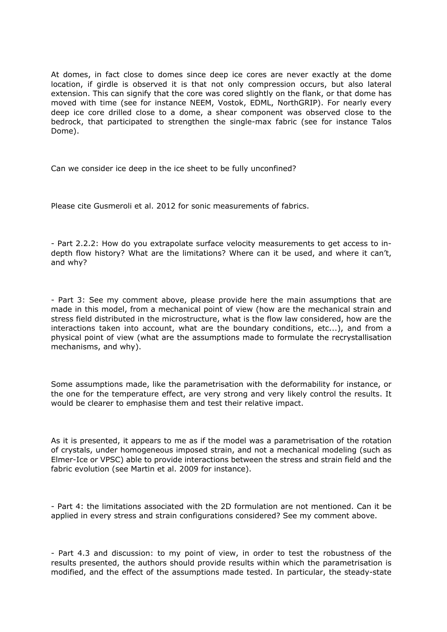At domes, in fact close to domes since deep ice cores are never exactly at the dome location, if girdle is observed it is that not only compression occurs, but also lateral extension. This can signify that the core was cored slightly on the flank, or that dome has moved with time (see for instance NEEM, Vostok, EDML, NorthGRIP). For nearly every deep ice core drilled close to a dome, a shear component was observed close to the bedrock, that participated to strengthen the single-max fabric (see for instance Talos Dome).

Can we consider ice deep in the ice sheet to be fully unconfined?

Please cite Gusmeroli et al. 2012 for sonic measurements of fabrics.

- Part 2.2.2: How do you extrapolate surface velocity measurements to get access to indepth flow history? What are the limitations? Where can it be used, and where it can't, and why?

- Part 3: See my comment above, please provide here the main assumptions that are made in this model, from a mechanical point of view (how are the mechanical strain and stress field distributed in the microstructure, what is the flow law considered, how are the interactions taken into account, what are the boundary conditions, etc...), and from a physical point of view (what are the assumptions made to formulate the recrystallisation mechanisms, and why).

Some assumptions made, like the parametrisation with the deformability for instance, or the one for the temperature effect, are very strong and very likely control the results. It would be clearer to emphasise them and test their relative impact.

As it is presented, it appears to me as if the model was a parametrisation of the rotation of crystals, under homogeneous imposed strain, and not a mechanical modeling (such as Elmer-Ice or VPSC) able to provide interactions between the stress and strain field and the fabric evolution (see Martin et al. 2009 for instance).

- Part 4: the limitations associated with the 2D formulation are not mentioned. Can it be applied in every stress and strain configurations considered? See my comment above.

- Part 4.3 and discussion: to my point of view, in order to test the robustness of the results presented, the authors should provide results within which the parametrisation is modified, and the effect of the assumptions made tested. In particular, the steady-state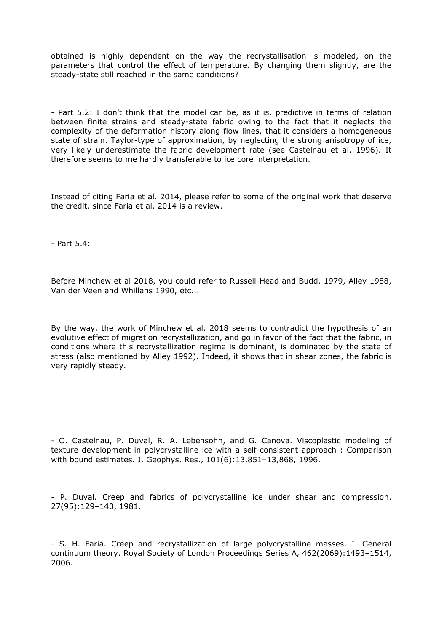obtained is highly dependent on the way the recrystallisation is modeled, on the parameters that control the effect of temperature. By changing them slightly, are the steady-state still reached in the same conditions?

- Part 5.2: I don't think that the model can be, as it is, predictive in terms of relation between finite strains and steady-state fabric owing to the fact that it neglects the complexity of the deformation history along flow lines, that it considers a homogeneous state of strain. Taylor-type of approximation, by neglecting the strong anisotropy of ice, very likely underestimate the fabric development rate (see Castelnau et al. 1996). It therefore seems to me hardly transferable to ice core interpretation.

Instead of citing Faria et al. 2014, please refer to some of the original work that deserve the credit, since Faria et al. 2014 is a review.

- Part 5.4:

Before Minchew et al 2018, you could refer to Russell-Head and Budd, 1979, Alley 1988, Van der Veen and Whillans 1990, etc...

By the way, the work of Minchew et al. 2018 seems to contradict the hypothesis of an evolutive effect of migration recrystallization, and go in favor of the fact that the fabric, in conditions where this recrystallization regime is dominant, is dominated by the state of stress (also mentioned by Alley 1992). Indeed, it shows that in shear zones, the fabric is very rapidly steady.

- O. Castelnau, P. Duval, R. A. Lebensohn, and G. Canova. Viscoplastic modeling of texture development in polycrystalline ice with a self-consistent approach : Comparison with bound estimates. J. Geophys. Res., 101(6):13,851–13,868, 1996.

- P. Duval. Creep and fabrics of polycrystalline ice under shear and compression. 27(95):129–140, 1981.

- S. H. Faria. Creep and recrystallization of large polycrystalline masses. I. General continuum theory. Royal Society of London Proceedings Series A, 462(2069):1493–1514, 2006.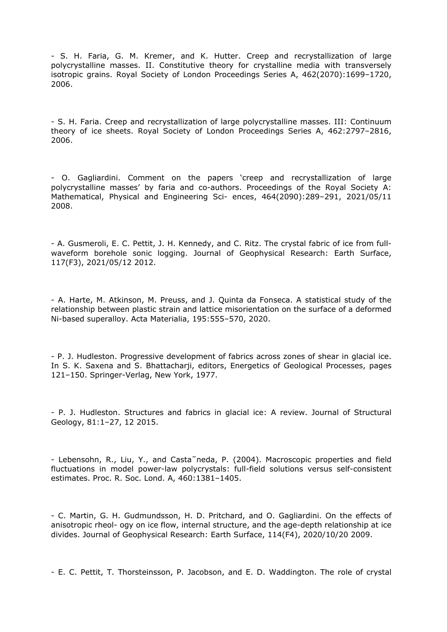- S. H. Faria, G. M. Kremer, and K. Hutter. Creep and recrystallization of large polycrystalline masses. II. Constitutive theory for crystalline media with transversely isotropic grains. Royal Society of London Proceedings Series A, 462(2070):1699–1720, 2006.

- S. H. Faria. Creep and recrystallization of large polycrystalline masses. III: Continuum theory of ice sheets. Royal Society of London Proceedings Series A, 462:2797–2816, 2006.

- O. Gagliardini. Comment on the papers 'creep and recrystallization of large polycrystalline masses' by faria and co-authors. Proceedings of the Royal Society A: Mathematical, Physical and Engineering Sci- ences, 464(2090):289–291, 2021/05/11 2008.

- A. Gusmeroli, E. C. Pettit, J. H. Kennedy, and C. Ritz. The crystal fabric of ice from fullwaveform borehole sonic logging. Journal of Geophysical Research: Earth Surface, 117(F3), 2021/05/12 2012.

- A. Harte, M. Atkinson, M. Preuss, and J. Quinta da Fonseca. A statistical study of the relationship between plastic strain and lattice misorientation on the surface of a deformed Ni-based superalloy. Acta Materialia, 195:555–570, 2020.

- P. J. Hudleston. Progressive development of fabrics across zones of shear in glacial ice. In S. K. Saxena and S. Bhattacharji, editors, Energetics of Geological Processes, pages 121–150. Springer-Verlag, New York, 1977.

- P. J. Hudleston. Structures and fabrics in glacial ice: A review. Journal of Structural Geology, 81:1–27, 12 2015.

- Lebensohn, R., Liu, Y., and Casta˜neda, P. (2004). Macroscopic properties and field fluctuations in model power-law polycrystals: full-field solutions versus self-consistent estimates. Proc. R. Soc. Lond. A, 460:1381–1405.

- C. Martin, G. H. Gudmundsson, H. D. Pritchard, and O. Gagliardini. On the effects of anisotropic rheol- ogy on ice flow, internal structure, and the age-depth relationship at ice divides. Journal of Geophysical Research: Earth Surface, 114(F4), 2020/10/20 2009.

- E. C. Pettit, T. Thorsteinsson, P. Jacobson, and E. D. Waddington. The role of crystal